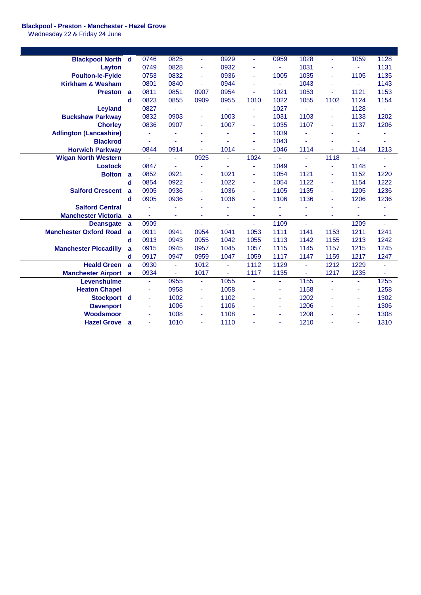## **Blackpool - Preston - Manchester - Hazel Grove**

Wednesday 22 & Friday 24 June

| <b>Blackpool North d</b>      |                | 0746           | 0825           | ÷.             | 0929           | ÷              | 0959           | 1028           |                | 1059           | 1128           |
|-------------------------------|----------------|----------------|----------------|----------------|----------------|----------------|----------------|----------------|----------------|----------------|----------------|
| Layton                        |                | 0749           | 0828           |                | 0932           | ٠              | ä,             | 1031           |                | $\omega$       | 1131           |
| <b>Poulton-le-Fylde</b>       |                | 0753           | 0832           | ٠              | 0936           | ٠              | 1005           | 1035           |                | 1105           | 1135           |
| <b>Kirkham &amp; Wesham</b>   |                | 0801           | 0840           | ä,             | 0944           | Ξ              | $\blacksquare$ | 1043           | ٠              | $\blacksquare$ | 1143           |
| <b>Preston</b>                | a              | 0811           | 0851           | 0907           | 0954           | ٠              | 1021           | 1053           | ÷              | 1121           | 1153           |
|                               | d              | 0823           | 0855           | 0909           | 0955           | 1010           | 1022           | 1055           | 1102           | 1124           | 1154           |
| Leyland                       |                | 0827           | $\blacksquare$ |                | ä,             |                | 1027           | $\blacksquare$ |                | 1128           |                |
| <b>Buckshaw Parkway</b>       |                | 0832           | 0903           | ä,             | 1003           | ä,             | 1031           | 1103           | ٠              | 1133           | 1202           |
| <b>Chorley</b>                |                | 0836           | 0907           |                | 1007           | ٠              | 1035           | 1107           | ٠              | 1137           | 1206           |
| <b>Adlington (Lancashire)</b> |                | ä,             | ä,             |                | ä,             | ٠              | 1039           | ä,             |                | ä,             |                |
| <b>Blackrod</b>               |                |                | ÷,             |                |                | ٠              | 1043           | ä,             |                | ä,             |                |
| <b>Horwich Parkway</b>        |                | 0844           | 0914           |                | 1014           |                | 1046           | 1114           |                | 1144           | 1213           |
| <b>Wigan North Western</b>    |                | $\blacksquare$ | $\omega$       | 0925           | $\blacksquare$ | 1024           | $\blacksquare$ | $\omega$       | 1118           | $\blacksquare$ | $\blacksquare$ |
| <b>Lostock</b>                |                | 0847           | ÷.             | ä,             | ÷.             | ÷.             | 1049           | ä,             | ä,             | 1148           | $\omega$       |
| <b>Bolton</b>                 | a              | 0852           | 0921           |                | 1021           | ٠              | 1054           | 1121           |                | 1152           | 1220           |
|                               | d              | 0854           | 0922           | ٠              | 1022           | $\blacksquare$ | 1054           | 1122           | ä,             | 1154           | 1222           |
| <b>Salford Crescent</b>       | a              | 0905           | 0936           | ٠              | 1036           | ٠              | 1105           | 1135           | ۰              | 1205           | 1236           |
|                               | d              | 0905           | 0936           |                | 1036           | ۰              | 1106           | 1136           | ۰              | 1206           | 1236           |
| <b>Salford Central</b>        |                | ä,             | ٠              |                |                | ٠              |                |                |                | ä,             | ٠              |
| <b>Manchester Victoria</b>    | a              |                | $\blacksquare$ |                | ÷              | ٠              |                |                |                | $\blacksquare$ | ÷,             |
| <b>Deansgate</b>              | a              | 0909           | ÷.             | ÷.             | ä,             | ä,             | 1109           | ä,             | ä,             | 1209           | ä,             |
| <b>Manchester Oxford Road</b> | a              | 0911           | 0941           | 0954           | 1041           | 1053           | 1111           | 1141           | 1153           | 1211           | 1241           |
|                               | d              | 0913           | 0943           | 0955           | 1042           | 1055           | 1113           | 1142           | 1155           | 1213           | 1242           |
| <b>Manchester Piccadilly</b>  | a              | 0915           | 0945           | 0957           | 1045           | 1057           | 1115           | 1145           | 1157           | 1215           | 1245           |
|                               | d              | 0917           | 0947           | 0959           | 1047           | 1059           | 1117           | 1147           | 1159           | 1217           | 1247           |
| <b>Heald Green</b>            | $\overline{a}$ | 0930           | $\blacksquare$ | 1012           | ä,             | 1112           | 1129           | ÷,             | 1212           | 1229           | ä,             |
| <b>Manchester Airport</b>     | a              | 0934           | $\blacksquare$ | 1017           | $\blacksquare$ | 1117           | 1135           | Ξ              | 1217           | 1235           | $\blacksquare$ |
| Levenshulme                   |                | ä,             | 0955           | $\omega$       | 1055           | ä,             | ä,             | 1155           | $\blacksquare$ | ÷.             | 1255           |
| <b>Heaton Chapel</b>          |                | ä,             | 0958           | $\blacksquare$ | 1058           | ä,             | ä,             | 1158           |                | ä,             | 1258           |
| Stockport d                   |                | ٠              | 1002           |                | 1102           |                | ÷,             | 1202           |                | $\blacksquare$ | 1302           |
| <b>Davenport</b>              |                | ä,             | 1006           | $\blacksquare$ | 1106           |                | ä,             | 1206           |                | ä,             | 1306           |
| Woodsmoor                     |                | ä,             | 1008           | $\blacksquare$ | 1108           |                | ä,             | 1208           |                | ٠              | 1308           |
| <b>Hazel Grove</b>            | a              | ٠              | 1010           | ٠              | 1110           |                | L,             | 1210           |                | ٠              | 1310           |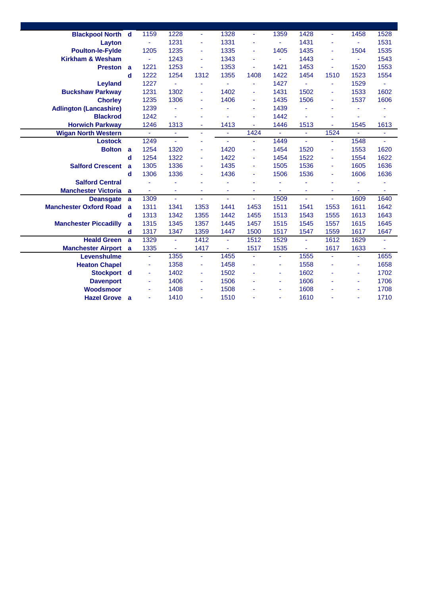|                      | 1159                                                                                                                                                    | 1228           | $\blacksquare$ | 1328           | Ξ    | 1359                  | 1428           | ÷              | 1458           | 1528           |
|----------------------|---------------------------------------------------------------------------------------------------------------------------------------------------------|----------------|----------------|----------------|------|-----------------------|----------------|----------------|----------------|----------------|
|                      | $\blacksquare$                                                                                                                                          | 1231           | $\blacksquare$ | 1331           | ä,   | ä,                    | 1431           |                | ä,             | 1531           |
|                      | 1205                                                                                                                                                    | 1235           | $\blacksquare$ | 1335           | Ξ    | 1405                  | 1435           |                | 1504           | 1535           |
|                      |                                                                                                                                                         | 1243           | $\blacksquare$ | 1343           | ä,   | $\tilde{\phantom{a}}$ | 1443           |                | ä,             | 1543           |
|                      | 1221                                                                                                                                                    | 1253           | ä,             | 1353           | ۰    | 1421                  | 1453           | ä,             | 1520           | 1553           |
| d                    | 1222                                                                                                                                                    | 1254           | 1312           | 1355           | 1408 | 1422                  | 1454           | 1510           | 1523           | 1554           |
|                      | 1227                                                                                                                                                    | $\blacksquare$ | $\blacksquare$ | $\blacksquare$ | ä,   | 1427                  | $\omega$       |                | 1529           | ٠              |
|                      | 1231                                                                                                                                                    | 1302           | $\blacksquare$ | 1402           | ä,   | 1431                  | 1502           |                | 1533           | 1602           |
|                      | 1235                                                                                                                                                    | 1306           | $\blacksquare$ | 1406           | ä,   | 1435                  | 1506           | ٠              | 1537           | 1606           |
|                      | 1239                                                                                                                                                    | ä,             | ٠              |                | ä,   | 1439                  |                |                | ä,             |                |
|                      | 1242                                                                                                                                                    | ÷,             | ٠              |                | ä,   | 1442                  | ÷.             |                | ÷,             | ٠              |
|                      | 1246                                                                                                                                                    | 1313           | $\blacksquare$ | 1413           | ä,   | 1446                  | 1513           | ä,             | 1545           | 1613           |
|                      | $\blacksquare$                                                                                                                                          | ä,             | $\blacksquare$ |                | 1424 | ä,                    | ä,             | 1524           | ä,             | $\blacksquare$ |
|                      | 1249                                                                                                                                                    | $\blacksquare$ | ä,             | ٠              | ÷    | 1449                  | $\omega$       |                | 1548           | $\blacksquare$ |
|                      | 1254                                                                                                                                                    | 1320           | ٠              | 1420           | ä,   | 1454                  | 1520           | ÷,             |                | 1620           |
| d                    | 1254                                                                                                                                                    | 1322           | $\blacksquare$ | 1422           | ä,   | 1454                  | 1522           | ۰              | 1554           | 1622           |
| a                    | 1305                                                                                                                                                    | 1336           | $\blacksquare$ | 1435           | ä,   | 1505                  | 1536           | ۰              | 1605           | 1636           |
| d                    | 1306                                                                                                                                                    | 1336           | $\blacksquare$ | 1436           | ä,   | 1506                  | 1536           | ۰              | 1606           | 1636           |
|                      |                                                                                                                                                         | ä,             | ٠              |                | ä,   |                       |                |                | ä,             | ä,             |
|                      | ä,                                                                                                                                                      | Ξ              | $\blacksquare$ | ٠              | ٠    | $\blacksquare$        | Ξ              | $\blacksquare$ | $\blacksquare$ | ÷              |
| a                    | 1309                                                                                                                                                    | ÷.             | $\blacksquare$ | ÷,             | ä,   | 1509                  | ÷.             | ÷.             | 1609           | 1640           |
| a                    | 1311                                                                                                                                                    | 1341           | 1353           | 1441           | 1453 | 1511                  | 1541           | 1553           | 1611           | 1642           |
| d                    | 1313                                                                                                                                                    | 1342           | 1355           | 1442           | 1455 | 1513                  | 1543           | 1555           | 1613           | 1643           |
| a                    | 1315                                                                                                                                                    | 1345           | 1357           | 1445           | 1457 | 1515                  | 1545           | 1557           | 1615           | 1645           |
| d                    | 1317                                                                                                                                                    | 1347           | 1359           | 1447           | 1500 | 1517                  | 1547           | 1559           | 1617           | 1647           |
|                      | 1329                                                                                                                                                    | ä,             | 1412           | $\blacksquare$ |      | 1529                  | $\blacksquare$ | 1612           | 1629           | Ξ              |
|                      | 1335                                                                                                                                                    | ٠              | 1417           | ٠              | 1517 | 1535                  | ٠              | 1617           | 1633           |                |
|                      | ä,                                                                                                                                                      | 1355           | $\blacksquare$ |                | ä,   | ÷                     |                | ÷,             | ä,             | 1655           |
|                      |                                                                                                                                                         |                | $\blacksquare$ | 1458           | ä,   | $\blacksquare$        | 1558           |                | $\blacksquare$ | 1658           |
|                      | ä,                                                                                                                                                      | 1402           | ÷,             | 1502           | ä,   | ä,                    | 1602           |                | $\blacksquare$ | 1702           |
|                      |                                                                                                                                                         | 1406           | $\blacksquare$ | 1506           |      | ä,                    | 1606           |                | $\blacksquare$ | 1706           |
|                      |                                                                                                                                                         | 1408           | ä              | 1508           |      | ٠                     | 1608           |                | ٠              | 1708           |
| <b>Hazel Grove</b> a |                                                                                                                                                         | 1410           | $\blacksquare$ | 1510           |      | $\blacksquare$        | 1610           |                | ÷,             | 1710           |
|                      | <b>Blackpool North d</b><br>Preston a<br>Bolton a<br><b>Manchester Victoria</b> a<br><b>Heald Green</b> a<br><b>Manchester Airport</b> a<br>Stockport d |                | 1358           |                | 1455 | 1512                  |                | 1555           |                | 1553           |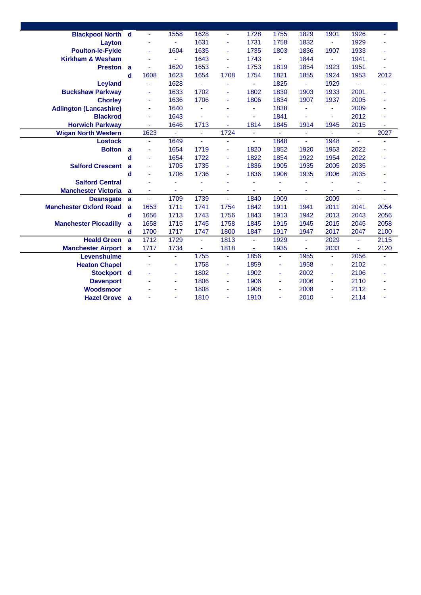| <b>Blackpool North d</b>      |                |      | 1558 | 1628           | $\blacksquare$ | 1728           | 1755           | 1829           | 1901           | 1926           | $\blacksquare$ |
|-------------------------------|----------------|------|------|----------------|----------------|----------------|----------------|----------------|----------------|----------------|----------------|
| Layton                        |                |      | ٠    | 1631           | $\blacksquare$ | 1731           | 1758           | 1832           | $\blacksquare$ | 1929           |                |
| <b>Poulton-le-Fylde</b>       |                |      | 1604 | 1635           | $\blacksquare$ | 1735           | 1803           | 1836           | 1907           | 1933           |                |
| <b>Kirkham &amp; Wesham</b>   |                |      | ÷,   | 1643           | $\blacksquare$ | 1743           | ä,             | 1844           |                | 1941           |                |
| <b>Preston</b> a              |                | ٠    | 1620 | 1653           | $\blacksquare$ | 1753           | 1819           | 1854           | 1923           | 1951           |                |
|                               | $\mathbf d$    | 1608 | 1623 | 1654           | 1708           | 1754           | 1821           | 1855           | 1924           | 1953           | 2012           |
| Leyland                       |                |      | 1628 | ä,             | $\blacksquare$ | ÷.             | 1825           | $\sim$         | 1929           | $\blacksquare$ |                |
| <b>Buckshaw Parkway</b>       |                |      | 1633 | 1702           | $\blacksquare$ | 1802           | 1830           | 1903           | 1933           | 2001           |                |
| <b>Chorley</b>                |                | ٠    | 1636 | 1706           | $\blacksquare$ | 1806           | 1834           | 1907           | 1937           | 2005           |                |
| <b>Adlington (Lancashire)</b> |                | ٠    | 1640 |                | ۰              | ۰              | 1838           | $\blacksquare$ | $\blacksquare$ | 2009           |                |
| <b>Blackrod</b>               |                |      | 1643 |                |                | $\blacksquare$ | 1841           | ÷,             |                | 2012           |                |
| <b>Horwich Parkway</b>        |                |      | 1646 | 1713           | ÷.             | 1814           | 1845           | 1914           | 1945           | 2015           | ä,             |
| <b>Wigan North Western</b>    |                | 1623 | ÷    | ÷              | 1724           | ÷,             | ÷,             | ٠              |                | ÷              | 2027           |
| <b>Lostock</b>                |                | ÷,   | 1649 | ä,             | ä,             | $\blacksquare$ | 1848           | $\blacksquare$ | 1948           | $\blacksquare$ |                |
| <b>Bolton</b>                 | $\overline{a}$ |      | 1654 | 1719           | $\blacksquare$ | 1820           | 1852           | 1920           | 1953           | 2022           |                |
|                               | d              |      | 1654 | 1722           | $\blacksquare$ | 1822           | 1854           | 1922           | 1954           | 2022           |                |
| <b>Salford Crescent</b>       | a              |      | 1705 | 1735           | $\blacksquare$ | 1836           | 1905           | 1935           | 2005           | 2035           |                |
|                               | d              | ٠    | 1706 | 1736           | $\blacksquare$ | 1836           | 1906           | 1935           | 2006           | 2035           |                |
| <b>Salford Central</b>        |                |      | ä,   | ٠              | ۰              |                | ä,             | ٠              |                |                |                |
| <b>Manchester Victoria</b> a  |                |      | ٠    | ä,             | $\blacksquare$ | ٠              | ÷.             | Ξ              |                | Ξ              |                |
| <b>Deansgate</b>              | a              | ÷.   | 1709 | 1739           | $\blacksquare$ | 1840           | 1909           | $\blacksquare$ | 2009           | ä,             |                |
| <b>Manchester Oxford Road</b> | a              | 1653 | 1711 | 1741           | 1754           | 1842           | 1911           | 1941           | 2011           | 2041           | 2054           |
|                               | d              | 1656 | 1713 | 1743           | 1756           | 1843           | 1913           | 1942           | 2013           | 2043           | 2056           |
| <b>Manchester Piccadilly</b>  | a              | 1658 | 1715 | 1745           | 1758           | 1845           | 1915           | 1945           | 2015           | 2045           | 2058           |
|                               | d              | 1700 | 1717 | 1747           | 1800           | 1847           | 1917           | 1947           | 2017           | 2047           | 2100           |
| <b>Heald Green</b> a          |                | 1712 | 1729 | $\blacksquare$ | 1813           | ä,             | 1929           | $\blacksquare$ | 2029           | ä,             | 2115           |
| <b>Manchester Airport</b> a   |                | 1717 | 1734 | ÷              | 1818           | ÷              | 1935           | $\blacksquare$ | 2033           | $\blacksquare$ | 2120           |
| Levenshulme                   |                | ٠    | Ξ    | 1755           | $\blacksquare$ | 1856           | ä,             | 1955           | $\blacksquare$ | 2056           | ä,             |
| <b>Heaton Chapel</b>          |                |      | ä,   | 1758           | $\blacksquare$ | 1859           | $\blacksquare$ | 1958           | $\sim$         | 2102           |                |
| Stockport d                   |                |      | ٠    | 1802           | $\blacksquare$ | 1902           | ä,             | 2002           |                | 2106           |                |
| <b>Davenport</b>              |                |      | ٠    | 1806           | $\blacksquare$ | 1906           | ۰              | 2006           |                | 2110           |                |
| Woodsmoor                     |                |      | ٠    | 1808           | $\blacksquare$ | 1908           | ä,             | 2008           |                | 2112           |                |
| <b>Hazel Grove</b>            | $\overline{a}$ |      | ٠    | 1810           | $\blacksquare$ | 1910           | ä,             | 2010           | ٠              | 2114           | ٠              |
|                               |                |      |      |                |                |                |                |                |                |                |                |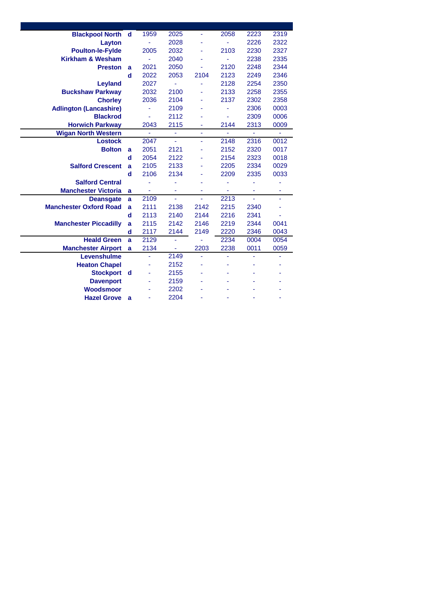| <b>Blackpool North</b>        | d           | 1959 | 2025 |      | 2058 | 2223 | 2319 |
|-------------------------------|-------------|------|------|------|------|------|------|
| Layton                        |             | ä,   | 2028 |      | ä,   | 2226 | 2322 |
| <b>Poulton-le-Fylde</b>       |             | 2005 | 2032 |      | 2103 | 2230 | 2327 |
| <b>Kirkham &amp; Wesham</b>   |             | ä,   | 2040 |      |      | 2238 | 2335 |
| <b>Preston</b>                | a           | 2021 | 2050 | ä,   | 2120 | 2248 | 2344 |
|                               | $\mathbf d$ | 2022 | 2053 | 2104 | 2123 | 2249 | 2346 |
| Leyland                       |             | 2027 | ä,   | L.   | 2128 | 2254 | 2350 |
| <b>Buckshaw Parkway</b>       |             | 2032 | 2100 |      | 2133 | 2258 | 2355 |
| <b>Chorley</b>                |             | 2036 | 2104 |      | 2137 | 2302 | 2358 |
| <b>Adlington (Lancashire)</b> |             | ÷    | 2109 |      |      | 2306 | 0003 |
| <b>Blackrod</b>               |             | ä,   | 2112 |      | L,   | 2309 | 0006 |
| <b>Horwich Parkway</b>        |             | 2043 | 2115 |      | 2144 | 2313 | 0009 |
| <b>Wigan North Western</b>    |             | ÷,   | Ξ    | ÷    | L,   | ÷,   | ÷    |
| <b>Lostock</b>                |             | 2047 | ÷.   | ÷    | 2148 | 2316 | 0012 |
| <b>Bolton</b>                 | a           | 2051 | 2121 |      | 2152 | 2320 | 0017 |
|                               | d           | 2054 | 2122 |      | 2154 | 2323 | 0018 |
| <b>Salford Crescent</b>       | a           | 2105 | 2133 |      | 2205 | 2334 | 0029 |
|                               | d           | 2106 | 2134 |      | 2209 | 2335 | 0033 |
| <b>Salford Central</b>        |             |      |      |      | ä,   | ä,   |      |
| <b>Manchester Victoria</b>    | a           |      |      |      |      |      | ä,   |
| <b>Deansgate</b>              | a           | 2109 | ä,   | ä,   | 2213 | u,   |      |
| <b>Manchester Oxford Road</b> | a           | 2111 | 2138 | 2142 | 2215 | 2340 |      |
|                               | d           | 2113 | 2140 | 2144 | 2216 | 2341 | ä,   |
| <b>Manchester Piccadilly</b>  | a           | 2115 | 2142 | 2146 | 2219 | 2344 | 0041 |
|                               | d           | 2117 | 2144 | 2149 | 2220 | 2346 | 0043 |
| <b>Heald Green</b>            | a           | 2129 | ÷,   |      | 2234 | 0004 | 0054 |
| <b>Manchester Airport</b>     | a           | 2134 | ۰    | 2203 | 2238 | 0011 | 0059 |
| Levenshulme                   |             | ä,   | 2149 | L,   | ä,   |      |      |
| <b>Heaton Chapel</b>          |             |      | 2152 |      |      |      |      |
| <b>Stockport</b>              | d           |      | 2155 |      |      |      |      |
| <b>Davenport</b>              |             |      | 2159 |      |      |      |      |
| <b>Woodsmoor</b>              |             |      | 2202 |      |      |      |      |
| <b>Hazel Grove</b>            | a           |      | 2204 |      |      |      |      |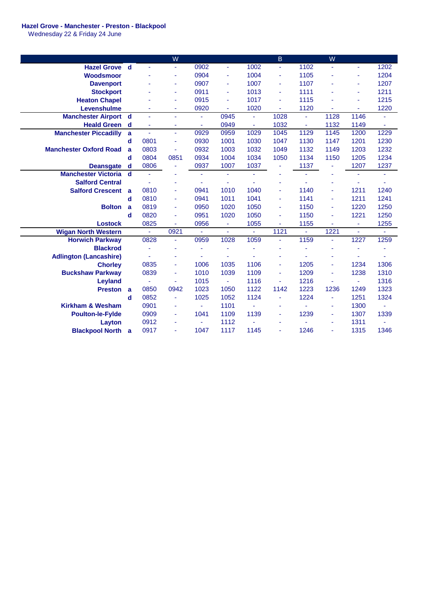## **Hazel Grove - Manchester - Preston - Blackpool**

Wednesday 22 & Friday 24 June

|                               |              |                          | W              |                |                     |      | B              |                | W              |      |          |
|-------------------------------|--------------|--------------------------|----------------|----------------|---------------------|------|----------------|----------------|----------------|------|----------|
| <b>Hazel Grove d</b>          |              | ÷.                       | ÷.             | 0902           | $\blacksquare$      | 1002 | ä,             | 1102           |                | ÷.   | 1202     |
| Woodsmoor                     |              |                          | ٠              | 0904           | $\blacksquare$      | 1004 | $\blacksquare$ | 1105           |                | ۰    | 1204     |
| <b>Davenport</b>              |              |                          | ٠              | 0907           | $\blacksquare$      | 1007 | $\blacksquare$ | 1107           |                | ٠    | 1207     |
| <b>Stockport</b>              |              |                          | ٠              | 0911           | $\blacksquare$      | 1013 | ä,             | 1111           |                | Ξ    | 1211     |
| <b>Heaton Chapel</b>          |              |                          | ٠              | 0915           | $\blacksquare$      | 1017 | ä,             | 1115           |                | ä,   | 1215     |
| Levenshulme                   |              |                          | ٠              | 0920           | ÷.                  | 1020 | $\blacksquare$ | 1120           |                | ä,   | 1220     |
| <b>Manchester Airport d</b>   |              | ä,                       | $\blacksquare$ | ÷              | 0945                | ÷.   | 1028           | $\blacksquare$ | 1128           | 1146 | Ξ        |
| <b>Heald Green</b>            | $\mathbf d$  |                          | ٠              | ä,             | 0949                | ä,   | 1032           | $\blacksquare$ | 1132           | 1149 | ÷.       |
| <b>Manchester Piccadilly</b>  | a            | $\overline{\phantom{a}}$ | $\blacksquare$ | 0929           | 0959                | 1029 | 1045           | 1129           | 1145           | 1200 | 1229     |
|                               | d            | 0801                     | ٠              | 0930           | 1001                | 1030 | 1047           | 1130           | 1147           | 1201 | 1230     |
| <b>Manchester Oxford Road</b> | $\mathbf{a}$ | 0803                     | Ξ              | 0932           | 1003                | 1032 | 1049           | 1132           | 1149           | 1203 | 1232     |
|                               | $\mathbf d$  | 0804                     | 0851           | 0934           | 1004                | 1034 | 1050           | 1134           | 1150           | 1205 | 1234     |
| <b>Deansgate</b>              | $\mathbf d$  | 0806                     | ä,             | 0937           | 1007                | 1037 | ä,             | 1137           | $\blacksquare$ | 1207 | 1237     |
| <b>Manchester Victoria</b>    | $\mathbf d$  | $\blacksquare$           |                | $\blacksquare$ | $\bar{\phantom{a}}$ | ۰    |                |                |                | ä,   | ۰        |
| <b>Salford Central</b>        |              |                          | ٠              |                | ä,                  |      | ٠              |                |                | ä,   | ä,       |
| <b>Salford Crescent</b>       | a            | 0810                     | $\blacksquare$ | 0941           | 1010                | 1040 | ä,             | 1140           | ٠              | 1211 | 1240     |
|                               | d            | 0810                     | $\blacksquare$ | 0941           | 1011                | 1041 | ä,             | 1141           |                | 1211 | 1241     |
| <b>Bolton</b>                 | a            | 0819                     | ٠              | 0950           | 1020                | 1050 | ä,             | 1150           |                | 1220 | 1250     |
|                               | $\mathbf d$  | 0820                     | ÷              | 0951           | 1020                | 1050 | ä,             | 1150           |                | 1221 | 1250     |
| <b>Lostock</b>                |              | 0825                     |                | 0956           | ÷                   | 1055 |                | 1155           |                | ä,   | 1255     |
| <b>Wigan North Western</b>    |              | $\blacksquare$           | 0921           |                | $\blacksquare$      | ÷    | 1121           | ÷              | 1221           | ä,   | $\equiv$ |
| <b>Horwich Parkway</b>        |              | 0828                     | ÷,             | 0959           | 1028                | 1059 | ä,             | 1159           |                | 1227 | 1259     |
| <b>Blackrod</b>               |              | ä,                       |                |                | ä,                  |      | ٠              |                |                | ä,   | ٠        |
| <b>Adlington (Lancashire)</b> |              | $\blacksquare$           | ٠              | ٠              | ä,                  |      |                | ä,             |                | ä,   |          |
| <b>Chorley</b>                |              | 0835                     | ۰              | 1006           | 1035                | 1106 | ä,             | 1205           |                | 1234 | 1306     |
| <b>Buckshaw Parkway</b>       |              | 0839                     | ۰              | 1010           | 1039                | 1109 | ä,             | 1209           |                | 1238 | 1310     |
| Leyland                       |              | ÷                        | ٠              | 1015           | $\blacksquare$      | 1116 | ä,             | 1216           |                | ÷    | 1316     |
| <b>Preston</b>                | a            | 0850                     | 0942           | 1023           | 1050                | 1122 | 1142           | 1223           | 1236           | 1249 | 1323     |
|                               | $\mathbf d$  | 0852                     | ä,             | 1025           | 1052                | 1124 | $\blacksquare$ | 1224           | $\blacksquare$ | 1251 | 1324     |
| <b>Kirkham &amp; Wesham</b>   |              | 0901                     | ٠              | ä,             | 1101                | ä,   | ۰              | ÷              |                | 1300 |          |
| <b>Poulton-le-Fylde</b>       |              | 0909                     | $\blacksquare$ | 1041           | 1109                | 1139 | ä,             | 1239           | ٠              | 1307 | 1339     |
| Layton                        |              | 0912                     | $\blacksquare$ |                | 1112                |      | ٠              |                |                | 1311 |          |
| <b>Blackpool North</b>        | -a           | 0917                     |                | 1047           | 1117                | 1145 | ä,             | 1246           | $\blacksquare$ | 1315 | 1346     |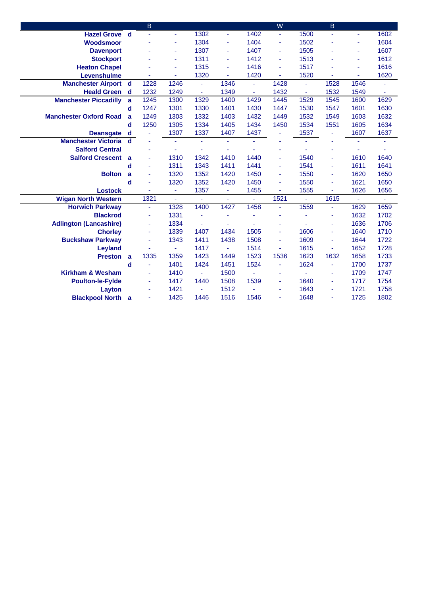|                               |             | B.                    |                |                |                |                | W              |                | <sub>B</sub> |          |                |
|-------------------------------|-------------|-----------------------|----------------|----------------|----------------|----------------|----------------|----------------|--------------|----------|----------------|
| <b>Hazel Grove d</b>          |             |                       | ä,             | 1302           | $\blacksquare$ | 1402           | ÷              | 1500           |              | ÷        | 1602           |
| Woodsmoor                     |             |                       | ٠              | 1304           | $\blacksquare$ | 1404           | $\blacksquare$ | 1502           |              | ٠        | 1604           |
| <b>Davenport</b>              |             |                       | ٠              | 1307           | ä,             | 1407           | ä,             | 1505           |              | ä,       | 1607           |
| <b>Stockport</b>              |             |                       | ä,             | 1311           | ä,             | 1412           | ä,             | 1513           |              | ä,       | 1612           |
| <b>Heaton Chapel</b>          |             |                       | ä,             | 1315           | $\blacksquare$ | 1416           | ä,             | 1517           |              | ä,       | 1616           |
| Levenshulme                   |             |                       | ٠              | 1320           | $\blacksquare$ | 1420           | ä,             | 1520           |              | ä,       | 1620           |
| <b>Manchester Airport d</b>   |             | 1228                  | 1246           | ÷              | 1346           | Ξ              | 1428           | $\blacksquare$ | 1528         | 1546     | ä,             |
| <b>Heald Green</b> d          |             | 1232                  | 1249           | $\blacksquare$ | 1349           | $\blacksquare$ | 1432           | $\omega$       | 1532         | 1549     | $\blacksquare$ |
| <b>Manchester Piccadilly</b>  | a           | 1245                  | 1300           | 1329           | 1400           | 1429           | 1445           | 1529           | 1545         | 1600     | 1629           |
|                               | d           | 1247                  | 1301           | 1330           | 1401           | 1430           | 1447           | 1530           | 1547         | 1601     | 1630           |
| <b>Manchester Oxford Road</b> | a           | 1249                  | 1303           | 1332           | 1403           | 1432           | 1449           | 1532           | 1549         | 1603     | 1632           |
|                               | $\mathbf d$ | 1250                  | 1305           | 1334           | 1405           | 1434           | 1450           | 1534           | 1551         | 1605     | 1634           |
| <b>Deansgate</b>              | d           |                       | 1307           | 1337           | 1407           | 1437           | ä,             | 1537           |              | 1607     | 1637           |
| <b>Manchester Victoria</b>    | $\mathbf d$ |                       | Ξ              | ä,             | ä,             | ä,             |                | ä,             |              | ä,       | ä,             |
| <b>Salford Central</b>        |             |                       | ٠              | ÷              | ÷              |                |                |                |              | ä,       |                |
| <b>Salford Crescent</b>       | a           |                       | 1310           | 1342           | 1410           | 1440           | ä,             | 1540           |              | 1610     | 1640           |
|                               | d           | ä,                    | 1311           | 1343           | 1411           | 1441           | ä,             | 1541           | ٠            | 1611     | 1641           |
| <b>Bolton</b>                 | a           | $\tilde{\phantom{a}}$ | 1320           | 1352           | 1420           | 1450           | $\blacksquare$ | 1550           | ٠            | 1620     | 1650           |
|                               | d           |                       | 1320           | 1352           | 1420           | 1450           | ä,             | 1550           |              | 1621     | 1650           |
| <b>Lostock</b>                |             | ä,                    | $\blacksquare$ | 1357           | $\blacksquare$ | 1455           | ä,             | 1555           |              | 1626     | 1656           |
| <b>Wigan North Western</b>    |             | 1321                  | ä,             | ä,             | ÷.             | ÷.             | 1521           | ÷              | 1615         | $\omega$ | Ξ              |
| <b>Horwich Parkway</b>        |             | ٠                     | 1328           | 1400           | 1427           | 1458           | ä,             | 1559           |              | 1629     | 1659           |
| <b>Blackrod</b>               |             | $\blacksquare$        | 1331           |                | ä,             |                | ä,             |                |              | 1632     | 1702           |
| <b>Adlington (Lancashire)</b> |             | ۰                     | 1334           | ä,             | ٠              |                | ٠              |                |              | 1636     | 1706           |
| <b>Chorley</b>                |             | ۰                     | 1339           | 1407           | 1434           | 1505           | ÷.             | 1606           |              | 1640     | 1710           |
| <b>Buckshaw Parkway</b>       |             | ٠                     | 1343           | 1411           | 1438           | 1508           | ä,             | 1609           |              | 1644     | 1722           |
| <b>Leyland</b>                |             |                       | ٠              | 1417           | $\blacksquare$ | 1514           | ä,             | 1615           |              | 1652     | 1728           |
| Preston a                     |             | 1335                  | 1359           | 1423           | 1449           | 1523           | 1536           | 1623           | 1632         | 1658     | 1733           |
|                               | d           |                       | 1401           | 1424           | 1451           | 1524           | ä,             | 1624           | ä,           | 1700     | 1737           |
| <b>Kirkham &amp; Wesham</b>   |             | ä,                    | 1410           | ä,             | 1500           |                | ä,             | ÷.             |              | 1709     | 1747           |
| <b>Poulton-le-Fylde</b>       |             | ۰                     | 1417           | 1440           | 1508           | 1539           | ä,             | 1640           |              | 1717     | 1754           |
| Layton                        |             |                       | 1421           |                | 1512           |                | ٠              | 1643           |              | 1721     | 1758           |
| <b>Blackpool North a</b>      |             |                       | 1425           | 1446           | 1516           | 1546           | ä,             | 1648           |              | 1725     | 1802           |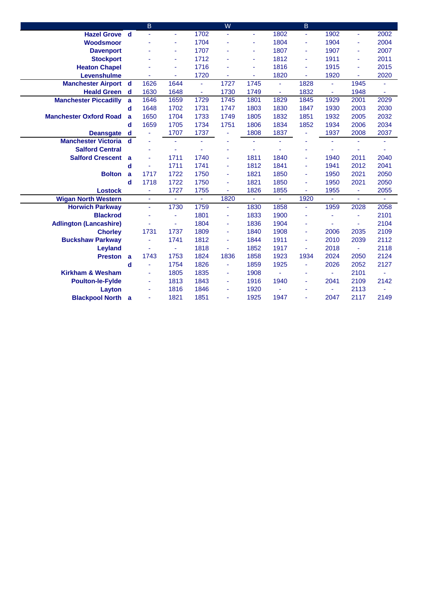|                               |                | B              |                |                | W    |      |                | B              |                |                |                          |
|-------------------------------|----------------|----------------|----------------|----------------|------|------|----------------|----------------|----------------|----------------|--------------------------|
| <b>Hazel Grove d</b>          |                |                | ä,             | 1702           |      | ä,   | 1802           | ä,             | 1902           | ÷,             | 2002                     |
| Woodsmoor                     |                |                | ٠              | 1704           |      | ٠    | 1804           | Ξ              | 1904           | Ξ              | 2004                     |
| <b>Davenport</b>              |                |                | ٠              | 1707           |      | ٠    | 1807           | $\blacksquare$ | 1907           | ÷              | 2007                     |
| <b>Stockport</b>              |                |                | ä,             | 1712           |      | ä,   | 1812           | ÷,             | 1911           | ÷,             | 2011                     |
| <b>Heaton Chapel</b>          |                |                | ä,             | 1716           |      | ä,   | 1816           | ÷,             | 1915           | ä,             | 2015                     |
| Levenshulme                   |                |                | ä,             | 1720           |      | ä,   | 1820           | Ξ              | 1920           | Ξ              | 2020                     |
| <b>Manchester Airport d</b>   |                | 1626           | 1644           | $\blacksquare$ | 1727 | 1745 | $\blacksquare$ | 1828           | $\blacksquare$ | 1945           |                          |
| <b>Heald Green</b> d          |                | 1630           | 1648           | $\blacksquare$ | 1730 | 1749 | $\blacksquare$ | 1832           | $\blacksquare$ | 1948           | $\overline{\phantom{a}}$ |
| <b>Manchester Piccadilly</b>  | a              | 1646           | 1659           | 1729           | 1745 | 1801 | 1829           | 1845           | 1929           | 2001           | 2029                     |
|                               | d              | 1648           | 1702           | 1731           | 1747 | 1803 | 1830           | 1847           | 1930           | 2003           | 2030                     |
| <b>Manchester Oxford Road</b> | a              | 1650           | 1704           | 1733           | 1749 | 1805 | 1832           | 1851           | 1932           | 2005           | 2032                     |
|                               | d              | 1659           | 1705           | 1734           | 1751 | 1806 | 1834           | 1852           | 1934           | 2006           | 2034                     |
| <b>Deansgate</b>              | d              |                | 1707           | 1737           | Ξ    | 1808 | 1837           | ٠              | 1937           | 2008           | 2037                     |
| <b>Manchester Victoria</b>    | $\mathbf d$    |                | ä,             | ÷.             |      | ä,   |                |                |                | ä,             |                          |
| <b>Salford Central</b>        |                |                | ٠              |                |      | ٠    |                | ٠              |                | ä,             | ٠                        |
| <b>Salford Crescent</b>       | a              |                | 1711           | 1740           | ä,   | 1811 | 1840           | $\blacksquare$ | 1940           | 2011           | 2040                     |
|                               | d              |                | 1711           | 1741           | ٠    | 1812 | 1841           | $\blacksquare$ | 1941           | 2012           | 2041                     |
| <b>Bolton</b>                 | a              | 1717           | 1722           | 1750           | ٠    | 1821 | 1850           | ٠              | 1950           | 2021           | 2050                     |
|                               | d              | 1718           | 1722           | 1750           | ä,   | 1821 | 1850           | ä,             | 1950           | 2021           | 2050                     |
| <b>Lostock</b>                |                | $\blacksquare$ | 1727           | 1755           | ä,   | 1826 | 1855           | $\blacksquare$ | 1955           | ٠              | 2055                     |
| <b>Wigan North Western</b>    |                | ÷.             | ÷.             | $\omega$       | 1820 | ÷.   | ä,             | 1920           |                | ä,             | $\blacksquare$           |
| <b>Horwich Parkway</b>        |                | ä,             | 1730           | 1759           | ÷,   | 1830 | 1858           | $\blacksquare$ | 1959           | 2028           | 2058                     |
| <b>Blackrod</b>               |                |                | ä,             | 1801           | ٠    | 1833 | 1900           | ٠              |                | ٠              | 2101                     |
| <b>Adlington (Lancashire)</b> |                |                | $\blacksquare$ | 1804           | ٠    | 1836 | 1904           | ٠              |                | ÷.             | 2104                     |
| <b>Chorley</b>                |                | 1731           | 1737           | 1809           | ÷.   | 1840 | 1908           | Ξ              | 2006           | 2035           | 2109                     |
| <b>Buckshaw Parkway</b>       |                | ä,             | 1741           | 1812           | ä,   | 1844 | 1911           | $\blacksquare$ | 2010           | 2039           | 2112                     |
| Leyland                       |                |                | Ξ              | 1818           | ä,   | 1852 | 1917           | $\blacksquare$ | 2018           | $\blacksquare$ | 2118                     |
| <b>Preston</b>                | $\overline{a}$ | 1743           | 1753           | 1824           | 1836 | 1858 | 1923           | 1934           | 2024           | 2050           | 2124                     |
|                               | d              | ä,             | 1754           | 1826           | ä,   | 1859 | 1925           | ٠              | 2026           | 2052           | 2127                     |
| <b>Kirkham &amp; Wesham</b>   |                | ä,             | 1805           | 1835           | ٠    | 1908 | ä,             | ٠              |                | 2101           | ä,                       |
| <b>Poulton-le-Fylde</b>       |                |                | 1813           | 1843           | ÷.   | 1916 | 1940           | ä,             | 2041           | 2109           | 2142                     |
| Layton                        |                |                | 1816           | 1846           | ä,   | 1920 |                | ٠              |                | 2113           |                          |
| <b>Blackpool North a</b>      |                |                | 1821           | 1851           |      | 1925 | 1947           |                | 2047           | 2117           | 2149                     |